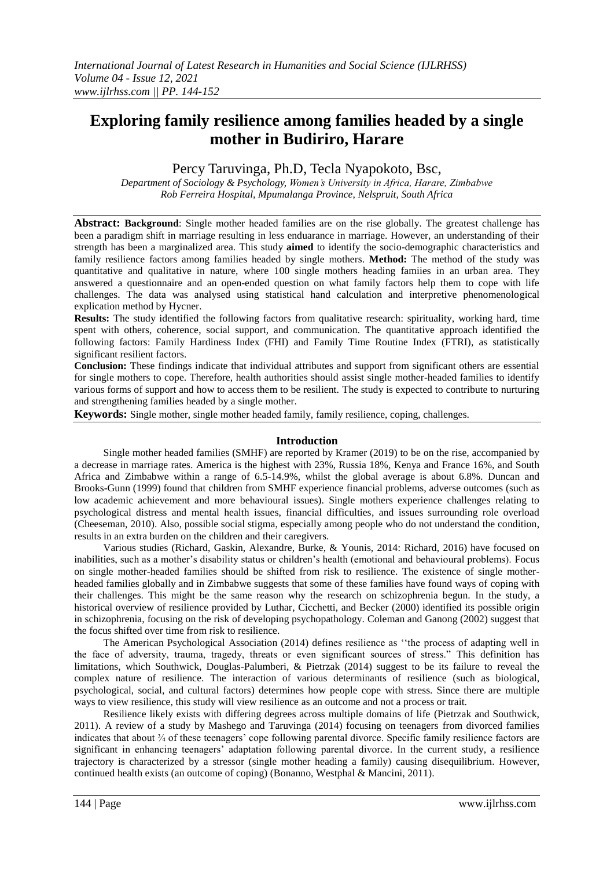# **Exploring family resilience among families headed by a single mother in Budiriro, Harare**

Percy Taruvinga, Ph.D, Tecla Nyapokoto, Bsc,

*Department of Sociology & Psychology, Women"s University in Africa, Harare, Zimbabwe Rob Ferreira Hospital, Mpumalanga Province, Nelspruit, South Africa*

**Abstract: Background**: Single mother headed families are on the rise globally. The greatest challenge has been a paradigm shift in marriage resulting in less enduarance in marriage. However, an understanding of their strength has been a marginalized area. This study **aimed** to identify the socio-demographic characteristics and family resilience factors among families headed by single mothers. **Method:** The method of the study was quantitative and qualitative in nature, where 100 single mothers heading famiies in an urban area. They answered a questionnaire and an open-ended question on what family factors help them to cope with life challenges. The data was analysed using statistical hand calculation and interpretive phenomenological explication method by Hycner.

**Results:** The study identified the following factors from qualitative research: spirituality, working hard, time spent with others, coherence, social support, and communication. The quantitative approach identified the following factors: Family Hardiness Index (FHI) and Family Time Routine Index (FTRI), as statistically significant resilient factors.

**Conclusion:** These findings indicate that individual attributes and support from significant others are essential for single mothers to cope. Therefore, health authorities should assist single mother-headed families to identify various forms of support and how to access them to be resilient. The study is expected to contribute to nurturing and strengthening families headed by a single mother.

**Keywords:** Single mother, single mother headed family, family resilience, coping, challenges.

### **Introduction**

Single mother headed families (SMHF) are reported by Kramer (2019) to be on the rise, accompanied by a decrease in marriage rates. America is the highest with 23%, Russia 18%, Kenya and France 16%, and South Africa and Zimbabwe within a range of 6.5-14.9%, whilst the global average is about 6.8%. Duncan and Brooks-Gunn (1999) found that children from SMHF experience financial problems, adverse outcomes (such as low academic achievement and more behavioural issues). Single mothers experience challenges relating to psychological distress and mental health issues, financial difficulties, and issues surrounding role overload (Cheeseman, 2010). Also, possible social stigma, especially among people who do not understand the condition, results in an extra burden on the children and their caregivers.

Various studies (Richard, Gaskin, Alexandre, Burke, & Younis, 2014: Richard, 2016) have focused on inabilities, such as a mother"s disability status or children"s health (emotional and behavioural problems). Focus on single mother-headed families should be shifted from risk to resilience. The existence of single motherheaded families globally and in Zimbabwe suggests that some of these families have found ways of coping with their challenges. This might be the same reason why the research on schizophrenia begun. In the study, a historical overview of resilience provided by Luthar, Cicchetti, and Becker (2000) identified its possible origin in schizophrenia, focusing on the risk of developing psychopathology. Coleman and Ganong (2002) suggest that the focus shifted over time from risk to resilience.

The American Psychological Association (2014) defines resilience as ""the process of adapting well in the face of adversity, trauma, tragedy, threats or even significant sources of stress." This definition has limitations, which Southwick, Douglas-Palumberi, & Pietrzak (2014) suggest to be its failure to reveal the complex nature of resilience. The interaction of various determinants of resilience (such as biological, psychological, social, and cultural factors) determines how people cope with stress. Since there are multiple ways to view resilience, this study will view resilience as an outcome and not a process or trait.

Resilience likely exists with differing degrees across multiple domains of life (Pietrzak and Southwick, 2011). A review of a study by Mashego and Taruvinga (2014) focusing on teenagers from divorced families indicates that about ¾ of these teenagers" cope following parental divorce. Specific family resilience factors are significant in enhancing teenagers" adaptation following parental divorce. In the current study, a resilience trajectory is characterized by a stressor (single mother heading a family) causing disequilibrium. However, continued health exists (an outcome of coping) (Bonanno, Westphal & Mancini, 2011).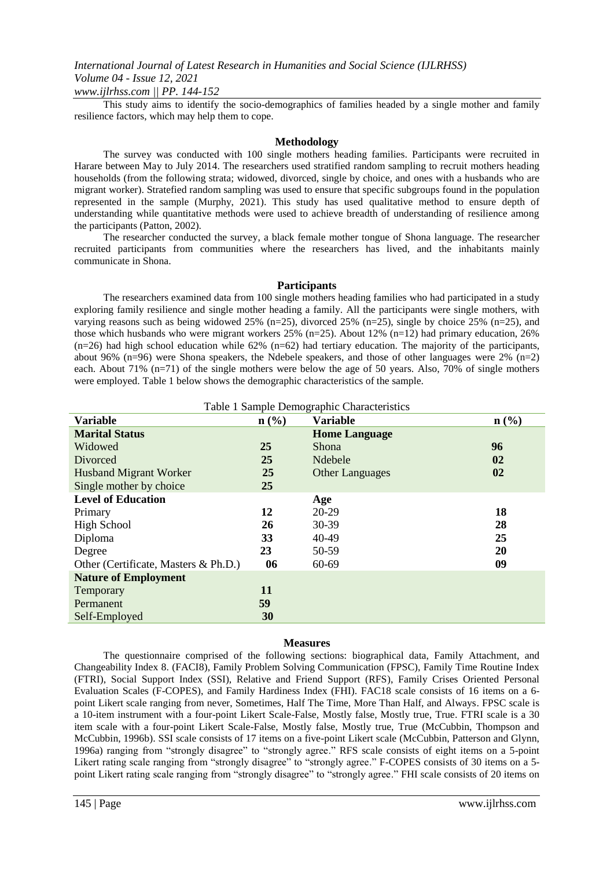*www.ijlrhss.com || PP. 144-152*

This study aims to identify the socio-demographics of families headed by a single mother and family resilience factors, which may help them to cope.

#### **Methodology**

The survey was conducted with 100 single mothers heading families. Participants were recruited in Harare between May to July 2014. The researchers used stratified random sampling to recruit mothers heading households (from the following strata; widowed, divorced, single by choice, and ones with a husbands who are migrant worker). Stratefied random sampling was used to ensure that specific subgroups found in the population represented in the sample (Murphy, 2021). This study has used qualitative method to ensure depth of understanding while quantitative methods were used to achieve breadth of understanding of resilience among the participants (Patton, 2002).

The researcher conducted the survey, a black female mother tongue of Shona language. The researcher recruited participants from communities where the researchers has lived, and the inhabitants mainly communicate in Shona.

#### **Participants**

The researchers examined data from 100 single mothers heading families who had participated in a study exploring family resilience and single mother heading a family. All the participants were single mothers, with varying reasons such as being widowed 25% (n=25), divorced 25% (n=25), single by choice 25% (n=25), and those which husbands who were migrant workers  $25\%$  (n=25). About 12% (n=12) had primary education, 26%  $(n=26)$  had high school education while 62%  $(n=62)$  had tertiary education. The majority of the participants, about 96% ( $n=96$ ) were Shona speakers, the Ndebele speakers, and those of other languages were 2% ( $n=2$ ) each. About 71% (n=71) of the single mothers were below the age of 50 years. Also, 70% of single mothers were employed. Table 1 below shows the demographic characteristics of the sample.

| Table 1 Sample Demographic Characteristics |                             |                        |                             |  |
|--------------------------------------------|-----------------------------|------------------------|-----------------------------|--|
| <b>Variable</b>                            | $n\left(\frac{0}{0}\right)$ | <b>Variable</b>        | $n\left(\frac{0}{0}\right)$ |  |
| <b>Marital Status</b>                      |                             | <b>Home Language</b>   |                             |  |
| Widowed                                    | <b>25</b>                   | <b>Shona</b>           | 96                          |  |
| Divorced                                   | 25                          | Ndebele                | 02                          |  |
| <b>Husband Migrant Worker</b>              | 25                          | <b>Other Languages</b> | 02                          |  |
| Single mother by choice                    | 25                          |                        |                             |  |
| <b>Level of Education</b>                  |                             | Age                    |                             |  |
| Primary                                    | 12                          | $20 - 29$              | 18                          |  |
| High School                                | 26                          | 30-39                  | 28                          |  |
| Diploma                                    | 33                          | 40-49                  | 25                          |  |
| Degree                                     | 23                          | 50-59                  | 20                          |  |
| Other (Certificate, Masters & Ph.D.)       | 06                          | 60-69                  | 09                          |  |
| <b>Nature of Employment</b>                |                             |                        |                             |  |
| Temporary                                  | <b>11</b>                   |                        |                             |  |
| Permanent                                  | 59                          |                        |                             |  |
| Self-Employed                              | 30                          |                        |                             |  |

#### **Measures**

The questionnaire comprised of the following sections: biographical data, Family Attachment, and Changeability Index 8. (FACI8), Family Problem Solving Communication (FPSC), Family Time Routine Index (FTRI), Social Support Index (SSI), Relative and Friend Support (RFS), Family Crises Oriented Personal Evaluation Scales (F-COPES), and Family Hardiness Index (FHI). FAC18 scale consists of 16 items on a 6 point Likert scale ranging from never, Sometimes, Half The Time, More Than Half, and Always. FPSC scale is a 10-item instrument with a four-point Likert Scale-False, Mostly false, Mostly true, True. FTRI scale is a 30 item scale with a four-point Likert Scale-False, Mostly false, Mostly true, True (McCubbin, Thompson and McCubbin, 1996b). SSI scale consists of 17 items on a five-point Likert scale (McCubbin, Patterson and Glynn, 1996a) ranging from "strongly disagree" to "strongly agree." RFS scale consists of eight items on a 5-point Likert rating scale ranging from "strongly disagree" to "strongly agree." F-COPES consists of 30 items on a 5 point Likert rating scale ranging from "strongly disagree" to "strongly agree." FHI scale consists of 20 items on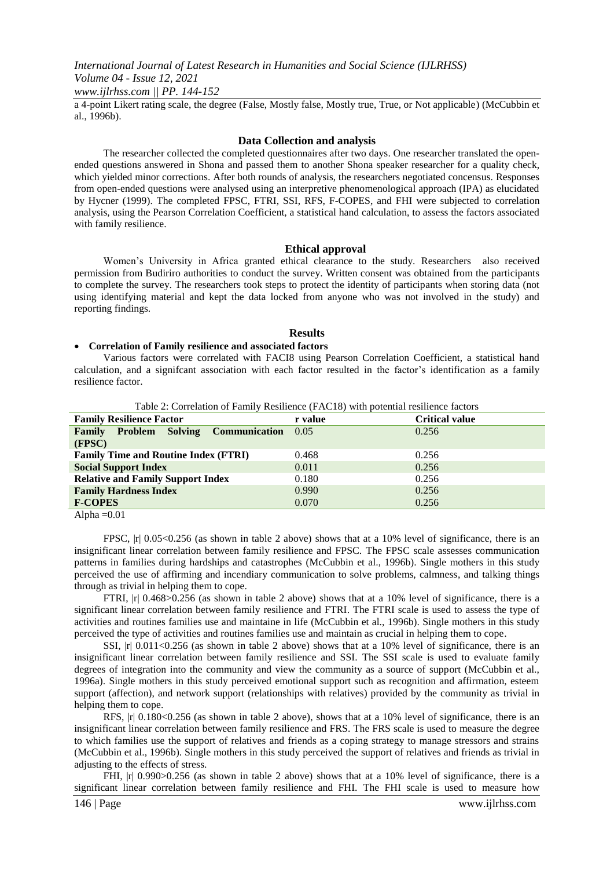*www.ijlrhss.com || PP. 144-152*

a 4-point Likert rating scale, the degree (False, Mostly false, Mostly true, True, or Not applicable) (McCubbin et al., 1996b).

#### **Data Collection and analysis**

The researcher collected the completed questionnaires after two days. One researcher translated the openended questions answered in Shona and passed them to another Shona speaker researcher for a quality check, which yielded minor corrections. After both rounds of analysis, the researchers negotiated concensus. Responses from open-ended questions were analysed using an interpretive phenomenological approach (IPA) as elucidated by Hycner (1999). The completed FPSC, FTRI, SSI, RFS, F-COPES, and FHI were subjected to correlation analysis, using the Pearson Correlation Coefficient, a statistical hand calculation, to assess the factors associated with family resilience.

#### **Ethical approval**

Women"s University in Africa granted ethical clearance to the study. Researchers also received permission from Budiriro authorities to conduct the survey. Written consent was obtained from the participants to complete the survey. The researchers took steps to protect the identity of participants when storing data (not using identifying material and kept the data locked from anyone who was not involved in the study) and reporting findings.

#### **Results**

#### **Correlation of Family resilience and associated factors**

Various factors were correlated with FACI8 using Pearson Correlation Coefficient, a statistical hand calculation, and a signifcant association with each factor resulted in the factor"s identification as a family resilience factor.

| Table 2. Correlation of Pathley Restrictive (PACT6) with potential restrictive factors |         |                       |  |
|----------------------------------------------------------------------------------------|---------|-----------------------|--|
| <b>Family Resilience Factor</b>                                                        | r value | <b>Critical value</b> |  |
| <b>Family Problem Solving Communication</b>                                            | 0.05    | 0.256                 |  |
| (FPSC)                                                                                 |         |                       |  |
| <b>Family Time and Routine Index (FTRI)</b>                                            | 0.468   | 0.256                 |  |
| <b>Social Support Index</b>                                                            | 0.011   | 0.256                 |  |
| <b>Relative and Family Support Index</b>                                               | 0.180   | 0.256                 |  |
| <b>Family Hardness Index</b>                                                           | 0.990   | 0.256                 |  |
| <b>F-COPES</b>                                                                         | 0.070   | 0.256                 |  |

Table 2: Correlation of Family Resilience (FAC18) with potential resilience factors

Alpha  $=0.01$ 

FPSC,  $|r|$  0.05<0.256 (as shown in table 2 above) shows that at a 10% level of significance, there is an insignificant linear correlation between family resilience and FPSC. The FPSC scale assesses communication patterns in families during hardships and catastrophes (McCubbin et al., 1996b). Single mothers in this study perceived the use of affirming and incendiary communication to solve problems, calmness, and talking things through as trivial in helping them to cope.

FTRI, |r| 0.468>0.256 (as shown in table 2 above) shows that at a 10% level of significance, there is a significant linear correlation between family resilience and FTRI. The FTRI scale is used to assess the type of activities and routines families use and maintaine in life (McCubbin et al., 1996b). Single mothers in this study perceived the type of activities and routines families use and maintain as crucial in helping them to cope.

SSI,  $|r|$  0.011<0.256 (as shown in table 2 above) shows that at a 10% level of significance, there is an insignificant linear correlation between family resilience and SSI. The SSI scale is used to evaluate family degrees of integration into the community and view the community as a source of support (McCubbin et al., 1996a). Single mothers in this study perceived emotional support such as recognition and affirmation, esteem support (affection), and network support (relationships with relatives) provided by the community as trivial in helping them to cope.

RFS,  $|r|$  0.180<0.256 (as shown in table 2 above), shows that at a 10% level of significance, there is an insignificant linear correlation between family resilience and FRS. The FRS scale is used to measure the degree to which families use the support of relatives and friends as a coping strategy to manage stressors and strains (McCubbin et al., 1996b). Single mothers in this study perceived the support of relatives and friends as trivial in adjusting to the effects of stress.

FHI,  $|r|$  0.990>0.256 (as shown in table 2 above) shows that at a 10% level of significance, there is a significant linear correlation between family resilience and FHI. The FHI scale is used to measure how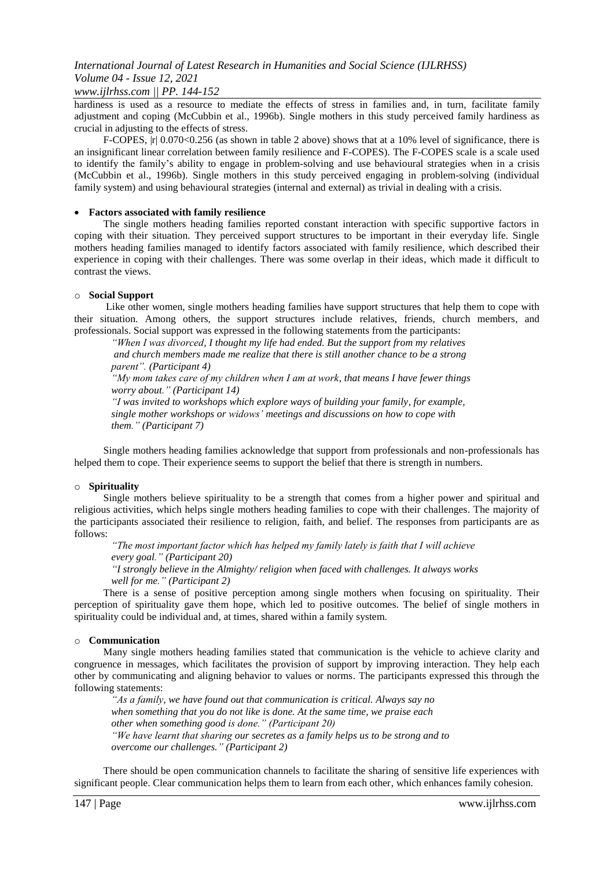*www.ijlrhss.com || PP. 144-152*

hardiness is used as a resource to mediate the effects of stress in families and, in turn, facilitate family adjustment and coping (McCubbin et al., 1996b). Single mothers in this study perceived family hardiness as crucial in adjusting to the effects of stress.

F-COPES,  $|r| 0.070 \le 0.256$  (as shown in table 2 above) shows that at a 10% level of significance, there is an insignificant linear correlation between family resilience and F-COPES). The F-COPES scale is a scale used to identify the family"s ability to engage in problem-solving and use behavioural strategies when in a crisis (McCubbin et al., 1996b). Single mothers in this study perceived engaging in problem-solving (individual family system) and using behavioural strategies (internal and external) as trivial in dealing with a crisis.

#### **Factors associated with family resilience**

The single mothers heading families reported constant interaction with specific supportive factors in coping with their situation. They perceived support structures to be important in their everyday life. Single mothers heading families managed to identify factors associated with family resilience, which described their experience in coping with their challenges. There was some overlap in their ideas, which made it difficult to contrast the views.

#### o **Social Support**

Like other women, single mothers heading families have support structures that help them to cope with their situation. Among others, the support structures include relatives, friends, church members, and professionals. Social support was expressed in the following statements from the participants:

*"When I was divorced, I thought my life had ended. But the support from my relatives and church members made me realize that there is still another chance to be a strong parent". (Participant 4)*

*"My mom takes care of my children when I am at work, that means I have fewer things worry about." (Participant 14)*

*"I was invited to workshops which explore ways of building your family, for example, single mother workshops or widows" meetings and discussions on how to cope with them." (Participant 7)*

Single mothers heading families acknowledge that support from professionals and non-professionals has helped them to cope. Their experience seems to support the belief that there is strength in numbers.

#### o **Spirituality**

Single mothers believe spirituality to be a strength that comes from a higher power and spiritual and religious activities, which helps single mothers heading families to cope with their challenges. The majority of the participants associated their resilience to religion, faith, and belief. The responses from participants are as follows:

*"The most important factor which has helped my family lately is faith that I will achieve every goal." (Participant 20)*

*"I strongly believe in the Almighty/ religion when faced with challenges. It always works well for me." (Participant 2)*

There is a sense of positive perception among single mothers when focusing on spirituality. Their perception of spirituality gave them hope, which led to positive outcomes. The belief of single mothers in spirituality could be individual and, at times, shared within a family system.

#### o **Communication**

Many single mothers heading families stated that communication is the vehicle to achieve clarity and congruence in messages, which facilitates the provision of support by improving interaction. They help each other by communicating and aligning behavior to values or norms. The participants expressed this through the following statements:

*"As a family, we have found out that communication is critical. Always say no when something that you do not like is done. At the same time, we praise each other when something good is done." (Participant 20) "We have learnt that sharing our secretes as a family helps us to be strong and to overcome our challenges." (Participant 2)*

There should be open communication channels to facilitate the sharing of sensitive life experiences with significant people. Clear communication helps them to learn from each other, which enhances family cohesion.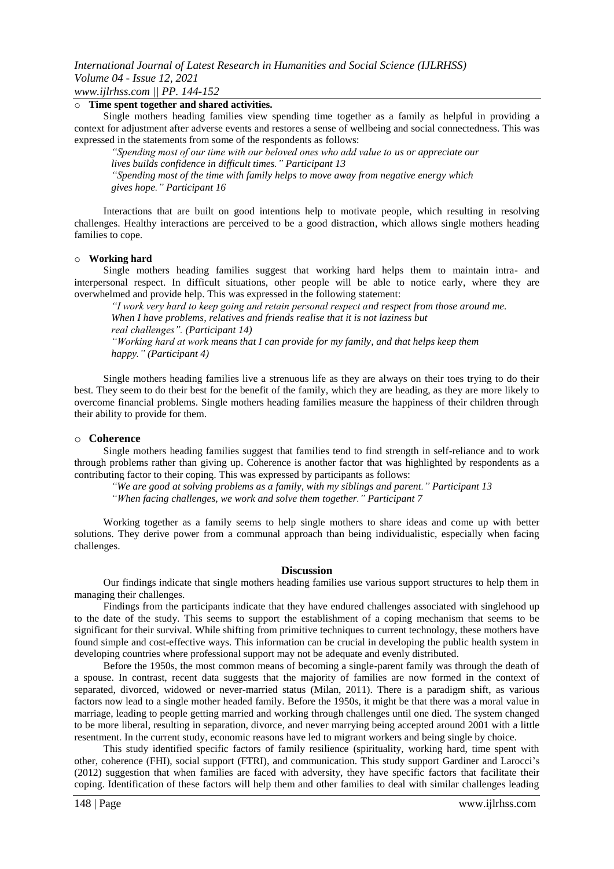#### o **Time spent together and shared activities.**

Single mothers heading families view spending time together as a family as helpful in providing a context for adjustment after adverse events and restores a sense of wellbeing and social connectedness. This was expressed in the statements from some of the respondents as follows:

*"Spending most of our time with our beloved ones who add value to us or appreciate our lives builds confidence in difficult times." Participant 13 "Spending most of the time with family helps to move away from negative energy which gives hope." Participant 16*

Interactions that are built on good intentions help to motivate people, which resulting in resolving challenges. Healthy interactions are perceived to be a good distraction, which allows single mothers heading families to cope.

#### o **Working hard**

Single mothers heading families suggest that working hard helps them to maintain intra- and interpersonal respect. In difficult situations, other people will be able to notice early, where they are overwhelmed and provide help. This was expressed in the following statement:

*"I work very hard to keep going and retain personal respect and respect from those around me. When I have problems, relatives and friends realise that it is not laziness but real challenges". (Participant 14) "Working hard at work means that I can provide for my family, and that helps keep them happy." (Participant 4)*

Single mothers heading families live a strenuous life as they are always on their toes trying to do their best. They seem to do their best for the benefit of the family, which they are heading, as they are more likely to overcome financial problems. Single mothers heading families measure the happiness of their children through their ability to provide for them.

#### o **Coherence**

Single mothers heading families suggest that families tend to find strength in self-reliance and to work through problems rather than giving up. Coherence is another factor that was highlighted by respondents as a contributing factor to their coping. This was expressed by participants as follows:

*"We are good at solving problems as a family, with my siblings and parent." Participant 13*

*"When facing challenges, we work and solve them together." Participant 7*

Working together as a family seems to help single mothers to share ideas and come up with better solutions. They derive power from a communal approach than being individualistic, especially when facing challenges.

#### **Discussion**

Our findings indicate that single mothers heading families use various support structures to help them in managing their challenges.

Findings from the participants indicate that they have endured challenges associated with singlehood up to the date of the study. This seems to support the establishment of a coping mechanism that seems to be significant for their survival. While shifting from primitive techniques to current technology, these mothers have found simple and cost-effective ways. This information can be crucial in developing the public health system in developing countries where professional support may not be adequate and evenly distributed.

Before the 1950s, the most common means of becoming a single-parent family was through the death of a spouse. In contrast, recent data suggests that the majority of families are now formed in the context of separated, divorced, widowed or never-married status (Milan, 2011). There is a paradigm shift, as various factors now lead to a single mother headed family. Before the 1950s, it might be that there was a moral value in marriage, leading to people getting married and working through challenges until one died. The system changed to be more liberal, resulting in separation, divorce, and never marrying being accepted around 2001 with a little resentment. In the current study, economic reasons have led to migrant workers and being single by choice.

This study identified specific factors of family resilience (spirituality, working hard, time spent with other, coherence (FHI), social support (FTRI), and communication. This study support Gardiner and Larocci"s (2012) suggestion that when families are faced with adversity, they have specific factors that facilitate their coping. Identification of these factors will help them and other families to deal with similar challenges leading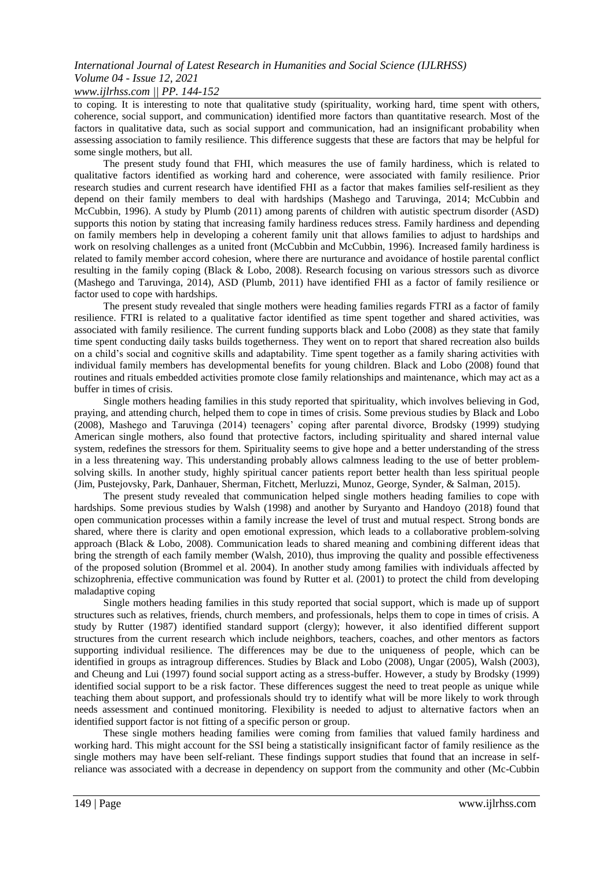# *www.ijlrhss.com || PP. 144-152*

to coping. It is interesting to note that qualitative study (spirituality, working hard, time spent with others, coherence, social support, and communication) identified more factors than quantitative research. Most of the factors in qualitative data, such as social support and communication, had an insignificant probability when assessing association to family resilience. This difference suggests that these are factors that may be helpful for some single mothers, but all.

The present study found that FHI, which measures the use of family hardiness, which is related to qualitative factors identified as working hard and coherence, were associated with family resilience. Prior research studies and current research have identified FHI as a factor that makes families self-resilient as they depend on their family members to deal with hardships (Mashego and Taruvinga, 2014; McCubbin and McCubbin, 1996). A study by Plumb (2011) among parents of children with autistic spectrum disorder (ASD) supports this notion by stating that increasing family hardiness reduces stress. Family hardiness and depending on family members help in developing a coherent family unit that allows families to adjust to hardships and work on resolving challenges as a united front (McCubbin and McCubbin, 1996). Increased family hardiness is related to family member accord cohesion, where there are nurturance and avoidance of hostile parental conflict resulting in the family coping (Black & Lobo, 2008). Research focusing on various stressors such as divorce (Mashego and Taruvinga, 2014), ASD (Plumb, 2011) have identified FHI as a factor of family resilience or factor used to cope with hardships.

The present study revealed that single mothers were heading families regards FTRI as a factor of family resilience. FTRI is related to a qualitative factor identified as time spent together and shared activities, was associated with family resilience. The current funding supports black and Lobo (2008) as they state that family time spent conducting daily tasks builds togetherness. They went on to report that shared recreation also builds on a child"s social and cognitive skills and adaptability. Time spent together as a family sharing activities with individual family members has developmental benefits for young children. Black and Lobo (2008) found that routines and rituals embedded activities promote close family relationships and maintenance, which may act as a buffer in times of crisis.

Single mothers heading families in this study reported that spirituality, which involves believing in God, praying, and attending church, helped them to cope in times of crisis. Some previous studies by Black and Lobo (2008), Mashego and Taruvinga (2014) teenagers" coping after parental divorce, Brodsky (1999) studying American single mothers, also found that protective factors, including spirituality and shared internal value system, redefines the stressors for them. Spirituality seems to give hope and a better understanding of the stress in a less threatening way. This understanding probably allows calmness leading to the use of better problemsolving skills. In another study, highly spiritual cancer patients report better health than less spiritual people (Jim, Pustejovsky, Park, Danhauer, Sherman, Fitchett, Merluzzi, Munoz, George, Synder, & Salman, 2015).

The present study revealed that communication helped single mothers heading families to cope with hardships. Some previous studies by Walsh (1998) and another by Suryanto and Handoyo (2018) found that open communication processes within a family increase the level of trust and mutual respect. Strong bonds are shared, where there is clarity and open emotional expression, which leads to a collaborative problem-solving approach (Black & Lobo, 2008). Communication leads to shared meaning and combining different ideas that bring the strength of each family member (Walsh, 2010), thus improving the quality and possible effectiveness of the proposed solution (Brommel et al. 2004). In another study among families with individuals affected by schizophrenia, effective communication was found by Rutter et al. (2001) to protect the child from developing maladaptive coping

Single mothers heading families in this study reported that social support, which is made up of support structures such as relatives, friends, church members, and professionals, helps them to cope in times of crisis. A study by Rutter (1987) identified standard support (clergy); however, it also identified different support structures from the current research which include neighbors, teachers, coaches, and other mentors as factors supporting individual resilience. The differences may be due to the uniqueness of people, which can be identified in groups as intragroup differences. Studies by Black and Lobo (2008), Ungar (2005), Walsh (2003), and Cheung and Lui (1997) found social support acting as a stress-buffer. However, a study by Brodsky (1999) identified social support to be a risk factor. These differences suggest the need to treat people as unique while teaching them about support, and professionals should try to identify what will be more likely to work through needs assessment and continued monitoring. Flexibility is needed to adjust to alternative factors when an identified support factor is not fitting of a specific person or group.

These single mothers heading families were coming from families that valued family hardiness and working hard. This might account for the SSI being a statistically insignificant factor of family resilience as the single mothers may have been self-reliant. These findings support studies that found that an increase in selfreliance was associated with a decrease in dependency on support from the community and other (Mc-Cubbin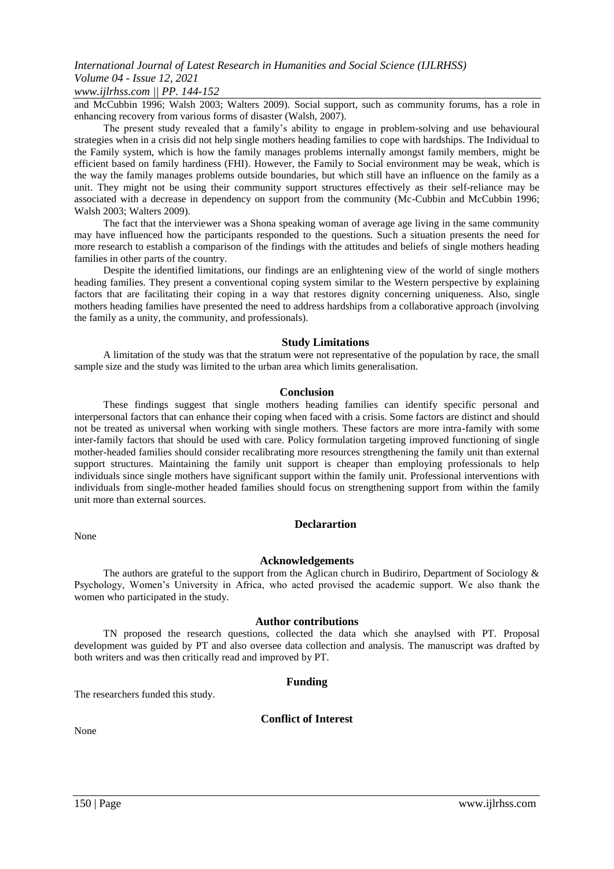# *www.ijlrhss.com || PP. 144-152*

and McCubbin 1996; Walsh 2003; Walters 2009). Social support, such as community forums, has a role in enhancing recovery from various forms of disaster (Walsh, 2007).

The present study revealed that a family"s ability to engage in problem-solving and use behavioural strategies when in a crisis did not help single mothers heading families to cope with hardships. The Individual to the Family system, which is how the family manages problems internally amongst family members, might be efficient based on family hardiness (FHI). However, the Family to Social environment may be weak, which is the way the family manages problems outside boundaries, but which still have an influence on the family as a unit. They might not be using their community support structures effectively as their self-reliance may be associated with a decrease in dependency on support from the community (Mc-Cubbin and McCubbin 1996; Walsh 2003; Walters 2009).

The fact that the interviewer was a Shona speaking woman of average age living in the same community may have influenced how the participants responded to the questions. Such a situation presents the need for more research to establish a comparison of the findings with the attitudes and beliefs of single mothers heading families in other parts of the country.

Despite the identified limitations, our findings are an enlightening view of the world of single mothers heading families. They present a conventional coping system similar to the Western perspective by explaining factors that are facilitating their coping in a way that restores dignity concerning uniqueness. Also, single mothers heading families have presented the need to address hardships from a collaborative approach (involving the family as a unity, the community, and professionals).

#### **Study Limitations**

A limitation of the study was that the stratum were not representative of the population by race, the small sample size and the study was limited to the urban area which limits generalisation.

#### **Conclusion**

These findings suggest that single mothers heading families can identify specific personal and interpersonal factors that can enhance their coping when faced with a crisis. Some factors are distinct and should not be treated as universal when working with single mothers. These factors are more intra-family with some inter-family factors that should be used with care. Policy formulation targeting improved functioning of single mother-headed families should consider recalibrating more resources strengthening the family unit than external support structures. Maintaining the family unit support is cheaper than employing professionals to help individuals since single mothers have significant support within the family unit. Professional interventions with individuals from single-mother headed families should focus on strengthening support from within the family unit more than external sources.

#### **Declarartion**

#### **Acknowledgements**

The authors are grateful to the support from the Aglican church in Budiriro, Department of Sociology & Psychology, Women"s University in Africa, who acted provised the academic support. We also thank the women who participated in the study.

#### **Author contributions**

TN proposed the research questions, collected the data which she anaylsed with PT. Proposal development was guided by PT and also oversee data collection and analysis. The manuscript was drafted by both writers and was then critically read and improved by PT.

#### **Funding**

The researchers funded this study.

# **Conflict of Interest**

None

None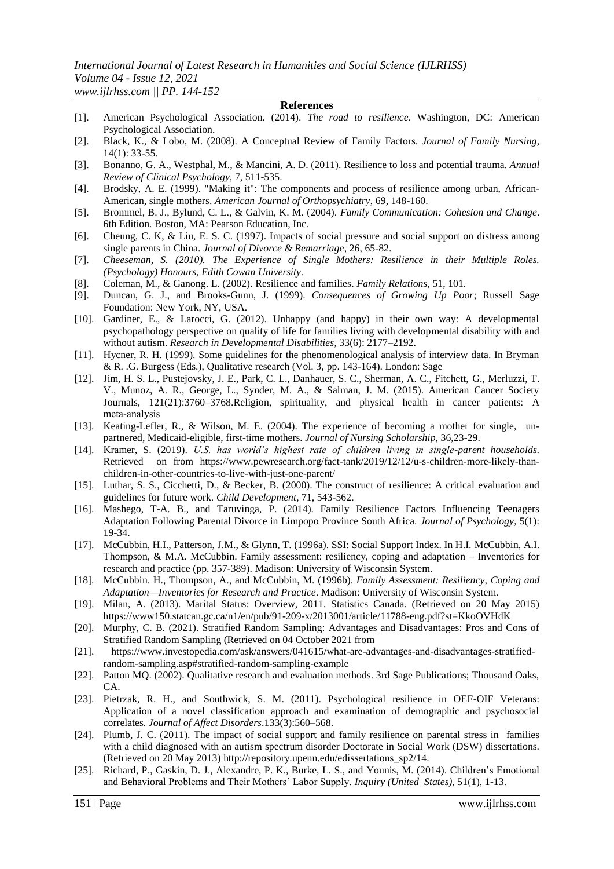### **References**

- [1]. American Psychological Association. (2014). *The road to resilience*. Washington, DC: American Psychological Association.
- [2]. Black, K., & Lobo, M. (2008). A Conceptual Review of Family Factors. *Journal of Family Nursing*, 14(1): 33-55.
- [3]. Bonanno, G. A., Westphal, M., & Mancini, A. D. (2011). Resilience to loss and potential trauma*. Annual Review of Clinical Psychology,* 7, 511-535.
- [4]. Brodsky, A. E. (1999). "Making it": The components and process of resilience among urban, African-American, single mothers. *American Journal of Orthopsychiatry*, 69, 148-160.
- [5]. Brommel, B. J., Bylund, C. L., & Galvin, K. M. (2004). *Family Communication: Cohesion and Change*. 6th Edition. Boston, MA: Pearson Education, Inc.
- [6]. Cheung, C. K, & Liu, E. S. C. (1997). Impacts of social pressure and social support on distress among single parents in China. *Journal of Divorce & Remarriage*, 26, 65-82.
- [7]. *Cheeseman, S. (2010). The Experience of Single Mothers: Resilience in their Multiple Roles. (Psychology) Honours, Edith Cowan University.*
- [8]. Coleman, M., & Ganong. L. (2002). Resilience and families. *Family Relations*, 51, 101.
- [9]. Duncan, G. J., and Brooks-Gunn, J. (1999). *Consequences of Growing Up Poor*; Russell Sage Foundation: New York, NY, USA.
- [10]. Gardiner, E., & Larocci, G. (2012). Unhappy (and happy) in their own way: A developmental psychopathology perspective on quality of life for families living with developmental disability with and without autism. *Research in Developmental Disabilities*, 33(6): 2177–2192.
- [11]. Hycner, R. H. (1999). Some guidelines for the phenomenological analysis of interview data. In Bryman & R. .G. Burgess (Eds.), Qualitative research (Vol. 3, pp. 143-164). London: Sage
- [12]. Jim, H. S. L., Pustejovsky, J. E., Park, C. L., Danhauer, S. C., Sherman, A. C., Fitchett, G., Merluzzi, T. V., Munoz, A. R., George, L., Synder, M. A., & Salman, J. M. (2015). American Cancer Society Journals, 121(21):3760–3768.Religion, spirituality, and physical health in cancer patients: A meta‐analysis
- [13]. Keating-Lefler, R., & Wilson, M. E. (2004). The experience of becoming a mother for single, unpartnered, Medicaid-eligible, first-time mothers. *Journal of Nursing Scholarship*, 36,23-29.
- [14]. Kramer, S. (2019). *U.S. has world"s highest rate of children living in single-parent households.* Retrieved on from [https://www.pewresearch.org/fact-tank/2019/12/12/u-s-children-more-likely-than](https://www.pewresearch.org/fact-tank/2019/12/12/u-s-children-more-likely-than-children-in-)[children-in-o](https://www.pewresearch.org/fact-tank/2019/12/12/u-s-children-more-likely-than-children-in-)ther-countries-to-live-with-just-one-parent/
- [15]. Luthar, S. S., Cicchetti, D., & Becker, B. (2000). The construct of resilience: A critical evaluation and guidelines for future work. *Child Development*, 71, 543-562.
- [16]. Mashego, T-A. B., and Taruvinga, P. (2014). Family Resilience Factors Influencing Teenagers Adaptation Following Parental Divorce in Limpopo Province South Africa. *Journal of Psychology*, 5(1): 19-34.
- [17]. McCubbin, H.I., Patterson, J.M., & Glynn, T. (1996a). SSI: Social Support Index. In H.I. McCubbin, A.I. Thompson, & M.A. McCubbin. Family assessment: resiliency, coping and adaptation – Inventories for research and practice (pp. 357-389). Madison: University of Wisconsin System.
- [18]. McCubbin. H., Thompson, A., and McCubbin, M. (1996b). *Family Assessment: Resiliency, Coping and Adaptation—Inventories for Research and Practice*. Madison: University of Wisconsin System.
- [19]. Milan, A. (2013). Marital Status: Overview, 2011. Statistics Canada. (Retrieved on 20 May 2015) [https://www150.statcan.gc.ca/n1/en/pub/91-209-x/2013001/article/11788-eng.pdf?st=KkoOVHd](https://www150.statcan.gc.ca/n1/en/pub/91-209-x/2013001/article/11788-eng.pdf?st=KkoOVH)K
- [20]. Murphy, C. B. (2021). Stratified Random Sampling: Advantages and Disadvantages: Pros and Cons of Stratified Random Sampling (Retrieved on 04 October 2021 from
- [21]. [https://www.investopedia.com/ask/answers/041615/what-are-advantages-and-disadvantages-s](https://www.investopedia.com/ask/answers/041615/what-are-advantages-and-disadvantages-)tratifiedrandom-sampling.asp#stratified-random-sampling-example
- [22]. Patton MQ. (2002). Qualitative research and evaluation methods. 3rd Sage Publications; Thousand Oaks,  $CA$
- [23]. Pietrzak, R. H., and Southwick, S. M. (2011). Psychological resilience in OEF-OIF Veterans: Application of a novel classification approach and examination of demographic and psychosocial correlates. *Journal of Affect Disorders*.133(3):560–568.
- [24]. Plumb, J. C. (2011). The impact of social support and family resilience on parental stress in families with a child diagnosed with an autism spectrum disorder Doctorate in Social Work (DSW) dissertations. (Retrieved on 20 May 2013) http://repository.upenn.edu/edissertations\_sp2/14.
- [25]. Richard, P., Gaskin, D. J., Alexandre, P. K., Burke, L. S., and Younis, M. (2014). Children"s Emotional and Behavioral Problems and Their Mothers" Labor Supply. *Inquiry (United States)*, 51(1), 1-13.